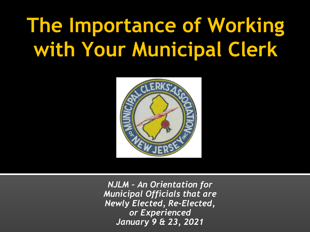## **The Importance of Working with Your Municipal Clerk**



*NJLM – An Orientation for Municipal Officials that are Newly Elected, Re-Elected, or Experienced January 9 & 23, 2021*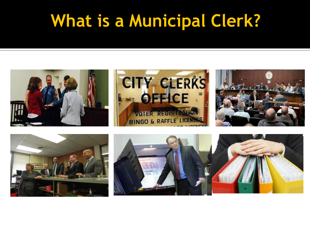#### **What is a Municipal Clerk?**





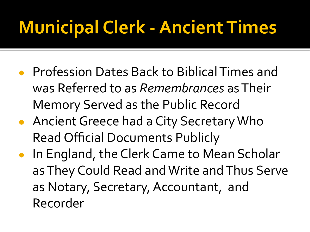### **Municipal Clerk - Ancient Times**

- Profession Dates Back to Biblical Times and was Referred to as *Remembrances* as Their Memory Served as the Public Record
- Ancient Greece had a City Secretary Who Read Official Documents Publicly
- In England, the Clerk Came to Mean Scholar as They Could Read and Write and Thus Serve as Notary, Secretary, Accountant, and Recorder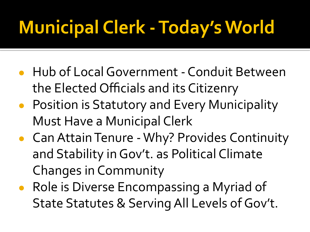## **Municipal Clerk - Today's World**

- Hub of Local Government Conduit Between the Elected Officials and its Citizenry
- Position is Statutory and Every Municipality Must Have a Municipal Clerk
- Can Attain Tenure Why? Provides Continuity and Stability in Gov't. as Political Climate Changes in Community
- Role is Diverse Encompassing a Myriad of State Statutes & Serving All Levels of Gov't.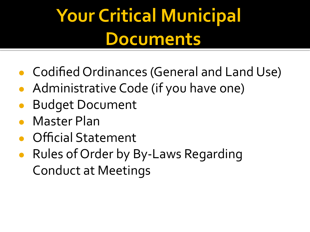## **Your Critical Municipal Documents**

- Codified Ordinances (General and Land Use)
- Administrative Code (if you have one)
- **Budget Document**
- **Master Plan**
- **Official Statement**
- Rules of Order by By-Laws Regarding Conduct at Meetings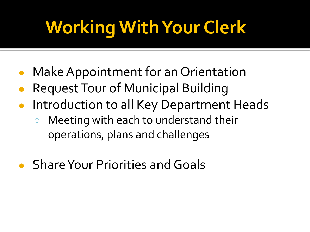# **Working With Your Clerk**

- Make Appointment for an Orientation
- **Request Tour of Municipal Building**
- Introduction to all Key Department Heads
	- Meeting with each to understand their operations, plans and challenges
- **Share Your Priorities and Goals**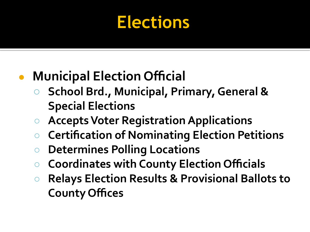#### **Elections**

#### **● Municipal Election Official**

- **○ School Brd., Municipal, Primary, General & Special Elections**
- **○ Accepts Voter Registration Applications**
- **○ Certification of Nominating Election Petitions**
- **○ Determines Polling Locations**
- **Coordinates with County Election Officials**
- **○ Relays Election Results & Provisional Ballots to County Offices**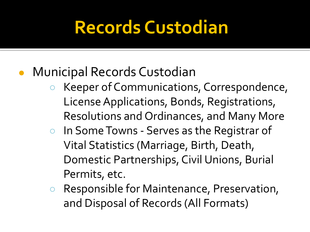#### **Records Custodian**

- **Municipal Records Custodian** 
	- Keeper of Communications, Correspondence, License Applications, Bonds, Registrations, Resolutions and Ordinances, and Many More
	- In Some Towns Serves as the Registrar of Vital Statistics (Marriage, Birth, Death, Domestic Partnerships, Civil Unions, Burial Permits, etc.
	- Responsible for Maintenance, Preservation, and Disposal of Records (All Formats)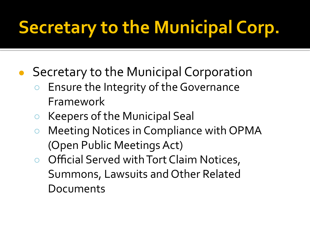### **Secretary to the Municipal Corp.**

- Secretary to the Municipal Corporation
	- Ensure the Integrity of the Governance Framework
	- Keepers of the Municipal Seal
	- Meeting Notices in Compliance with OPMA (Open Public Meetings Act)
	- Official Served with Tort Claim Notices, Summons, Lawsuits and Other Related Documents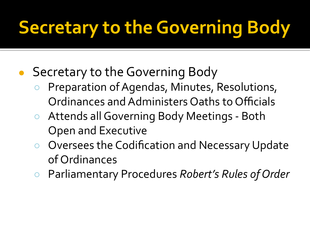- Secretary to the Governing Body
	- Preparation of Agendas, Minutes, Resolutions, Ordinances and Administers Oaths to Officials
	- Attends all Governing Body Meetings Both Open and Executive
	- Oversees the Codification and Necessary Update of Ordinances
	- Parliamentary Procedures *Robert's Rules of Order*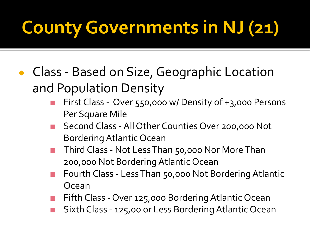### **County Governments in NJ (21)**

- Class Based on Size, Geographic Location and Population Density
	- First Class Over 550,000 w/ Density of +3,000 Persons Per Square Mile
	- Second Class All Other Counties Over 200,000 Not Bordering Atlantic Ocean
	- Third Class Not Less Than 50,000 Nor More Than 200,000 Not Bordering Atlantic Ocean
	- Fourth Class Less Than 50,000 Not Bordering Atlantic Ocean
	- Fifth Class Over 125,000 Bordering Atlantic Ocean
	- Sixth Class 125,00 or Less Bordering Atlantic Ocean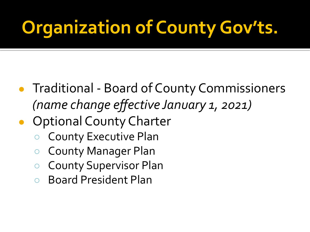## **Organization of County Gov'ts.**

- Traditional Board of County Commissioners *(name change effective January 1, 2021)*
- Optional County Charter
	- **County Executive Plan**
	- **County Manager Plan**
	- **County Supervisor Plan**
	- **Board President Plan**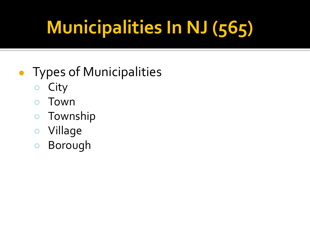# **Municipalities In NJ (565)**

#### ● Types of Municipalities

- City
- Town
- Township
- Village
- Borough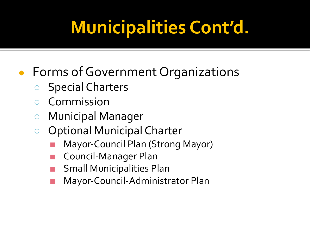### **Municipalities Cont'd.**

#### ● Forms of Government Organizations

- Special Charters
- **Commission**
- Municipal Manager
- Optional Municipal Charter
	- Mayor-Council Plan (Strong Mayor)
	- Council-Manager Plan
	- **Small Municipalities Plan**
	- Mayor-Council-Administrator Plan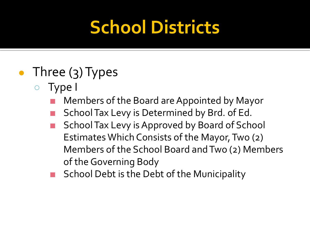### **School Districts**

- Three  $(3)$  Types
	- Type I
		- Members of the Board are Appointed by Mayor
		- School Tax Levy is Determined by Brd. of Ed.
		- School Tax Levy is Approved by Board of School Estimates Which Consists of the Mayor, Two (2) Members of the School Board and Two (2) Members of the Governing Body
		- School Debt is the Debt of the Municipality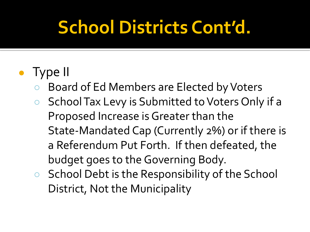### **School Districts Cont'd.**

#### ● Type II

- Board of Ed Members are Elected by Voters
- School Tax Levy is Submitted to Voters Only if a Proposed Increase is Greater than the State-Mandated Cap (Currently 2%) or if there is a Referendum Put Forth. If then defeated, the budget goes to the Governing Body.
- School Debt is the Responsibility of the School District, Not the Municipality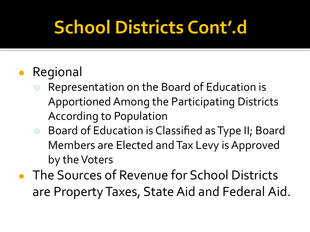### **School Districts Cont'.d**

#### Regional

- Representation on the Board of Education is Apportioned Among the Participating Districts According to Population
- Board of Education is Classified as Type II; Board Members are Elected and Tax Levy is Approved by the Voters
- The Sources of Revenue for School Districts are Property Taxes, State Aid and Federal Aid.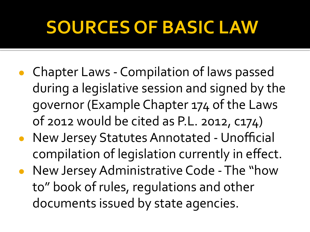#### **SOURCES OF BASIC LAW**

- Chapter Laws Compilation of laws passed during a legislative session and signed by the governor (Example Chapter 174 of the Laws of 2012 would be cited as P.L. 2012, c174)
- New Jersey Statutes Annotated Unofficial compilation of legislation currently in effect.
- New Jersey Administrative Code The "how to" book of rules, regulations and other documents issued by state agencies.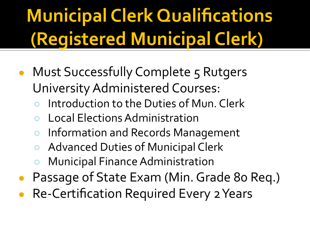# **Municipal Clerk Qualifications (Registered Municipal Clerk)**

- Must Successfully Complete 5 Rutgers University Administered Courses:
	- Introduction to the Duties of Mun. Clerk
	- Local Elections Administration
	- Information and Records Management
	- Advanced Duties of Municipal Clerk
	- **Municipal Finance Administration**
- Passage of State Exam (Min. Grade 80 Req.)
- **Re-Certification Required Every 2 Years**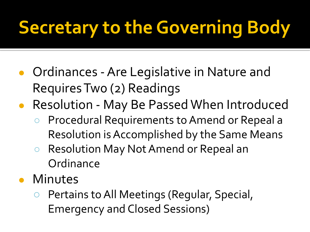- Ordinances Are Legislative in Nature and Requires Tw0 (2) Readings
- Resolution May Be Passed When Introduced
	- Procedural Requirements to Amend or Repeal a Resolution is Accomplished by the Same Means
	- Resolution May Not Amend or Repeal an **Ordinance**
- Minutes
	- Pertains to All Meetings (Regular, Special, Emergency and Closed Sessions)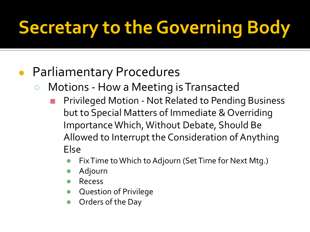#### **Parliamentary Procedures**

- Motions How a Meeting is Transacted
	- Privileged Motion Not Related to Pending Business but to Special Matters of Immediate & Overriding Importance Which, Without Debate, Should Be Allowed to Interrupt the Consideration of Anything Else
		- Fix Time to Which to Adjourn (Set Time for Next Mtg.)
		- Adjourn
		- **Recess**
		- **Question of Privilege**
		- Orders of the Day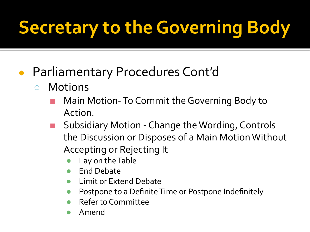- Parliamentary Procedures Cont'd
	- Motions
		- Main Motion- To Commit the Governing Body to Action.
		- Subsidiary Motion Change the Wording, Controls the Discussion or Disposes of a Main Motion Without Accepting or Rejecting It
			- Lay on the Table
			- **End Debate**
			- **Limit or Extend Debate**
			- Postpone to a Definite Time or Postpone Indefinitely
			- **Refer to Committee**
			- Amend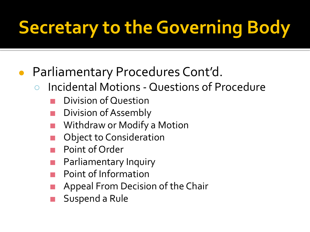- Parliamentary Procedures Cont'd.
	- Incidental Motions Questions of Procedure
		- Division of Question
		- Division of Assembly
		- Withdraw or Modify a Motion
		- **Object to Consideration**
		- Point of Order
		- Parliamentary Inquiry
		- Point of Information
		- Appeal From Decision of the Chair
		- Suspend a Rule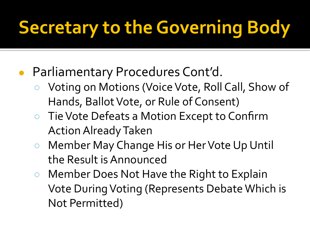- Parliamentary Procedures Cont'd.
	- Voting on Motions (Voice Vote, Roll Call, Show of Hands, Ballot Vote, or Rule of Consent)
	- Tie Vote Defeats a Motion Except to Confirm Action Already Taken
	- Member May Change His or Her Vote Up Until the Result is Announced
	- Member Does Not Have the Right to Explain Vote During Voting (Represents Debate Which is Not Permitted)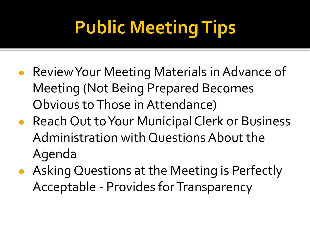# **Public Meeting Tips**

- Review Your Meeting Materials in Advance of Meeting (Not Being Prepared Becomes Obvious to Those in Attendance)
- Reach Out to Your Municipal Clerk or Business Administration with Questions About the Agenda
- Asking Questions at the Meeting is Perfectly Acceptable - Provides for Transparency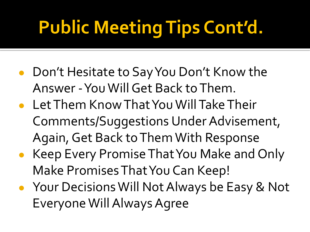# **Public Meeting Tips Cont'd.**

- Don't Hesitate to Say You Don't Know the Answer - You Will Get Back to Them.
- Let Them Know That You Will Take Their Comments/Suggestions Under Advisement, Again, Get Back to Them With Response
- Keep Every Promise That You Make and Only Make Promises That You Can Keep!
- Your Decisions Will Not Always be Easy & Not Everyone Will Always Agree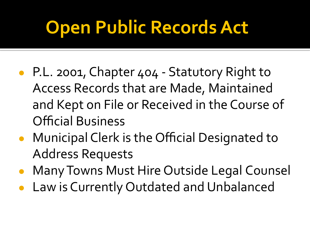### **Open Public Records Act**

- P.L. 2001, Chapter 404 Statutory Right to Access Records that are Made, Maintained and Kept on File or Received in the Course of Official Business
- Municipal Clerk is the Official Designated to Address Requests
- Many Towns Must Hire Outside Legal Counsel
- Law is Currently Outdated and Unbalanced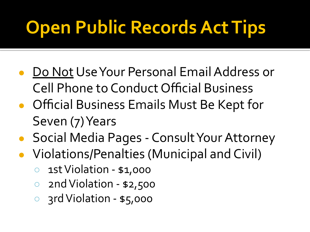## **Open Public Records Act Tips**

- Do Not Use Your Personal Email Address or Cell Phone to Conduct Official Business
- Official Business Emails Must Be Kept for Seven (7) Years
- Social Media Pages Consult Your Attorney
- Violations/Penalties (Municipal and Civil)
	- 1st Violation \$1,000
	- 2nd Violation \$2,500
	- 3rd Violation \$5,000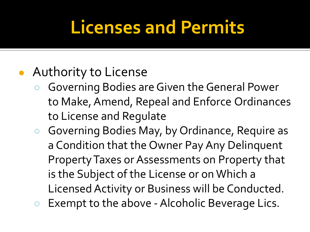#### **Licenses and Permits**

- Authority to License
	- Governing Bodies are Given the General Power to Make, Amend, Repeal and Enforce Ordinances to License and Regulate
	- Governing Bodies May, by Ordinance, Require as a Condition that the Owner Pay Any Delinquent Property Taxes or Assessments on Property that is the Subject of the License or on Which a Licensed Activity or Business will be Conducted.
	- Exempt to the above Alcoholic Beverage Lics.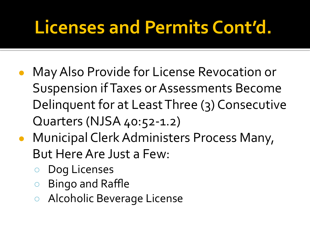#### **Licenses and Permits Cont'd.**

- May Also Provide for License Revocation or Suspension if Taxes or Assessments Become Delinquent for at Least Three (3) Consecutive Quarters (NJSA 40:52-1.2)
- Municipal Clerk Administers Process Many, But Here Are Just a Few:
	- Dog Licenses
	- Bingo and Raffle
	- Alcoholic Beverage License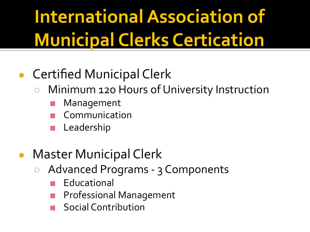## **International Association of Municipal Clerks Certication**

#### **Certified Municipal Clerk**

- Minimum 120 Hours of University Instruction
	- **Management**
	- **Communication**
	- Leadership
- **Master Municipal Clerk** 
	- Advanced Programs 3 Components
		- **Educational**
		- **Professional Management**
		- **Social Contribution**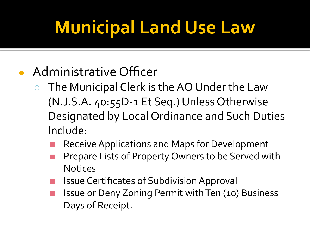## **Municipal Land Use Law**

- Administrative Officer
	- The Municipal Clerk is the AO Under the Law (N.J.S.A. 40:55D-1 Et Seq.) Unless Otherwise Designated by Local Ordinance and Such Duties Include:
		- Receive Applications and Maps for Development
		- Prepare Lists of Property Owners to be Served with **Notices**
		- **Issue Certificates of Subdivision Approval**
		- Issue or Deny Zoning Permit with Ten (10) Business Days of Receipt.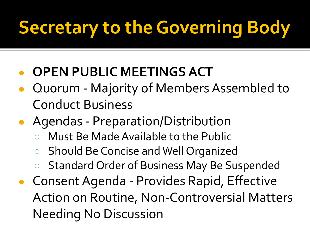#### **● OPEN PUBLIC MEETINGS ACT**

- Quorum Majority of Members Assembled to Conduct Business
- Agendas Preparation/Distribution
	- Must Be Made Available to the Public
	- Should Be Concise and Well Organized
	- Standard Order of Business May Be Suspended
- Consent Agenda Provides Rapid, Effective Action on Routine, Non-Controversial Matters Needing No Discussion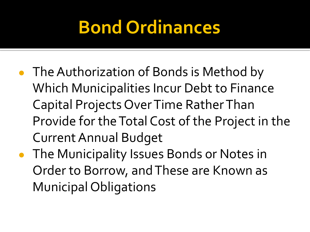#### **Bond Ordinances**

- The Authorization of Bonds is Method by Which Municipalities Incur Debt to Finance Capital Projects Over Time Rather Than Provide for the Total Cost of the Project in the Current Annual Budget
- The Municipality Issues Bonds or Notes in Order to Borrow, and These are Known as Municipal Obligations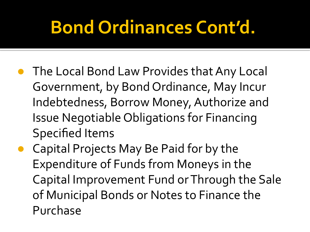#### **Bond Ordinances Cont'd.**

- The Local Bond Law Provides that Any Local Government, by Bond Ordinance, May Incur Indebtedness, Borrow Money, Authorize and Issue Negotiable Obligations for Financing Specified Items
- Capital Projects May Be Paid for by the Expenditure of Funds from Moneys in the Capital Improvement Fund or Through the Sale of Municipal Bonds or Notes to Finance the Purchase